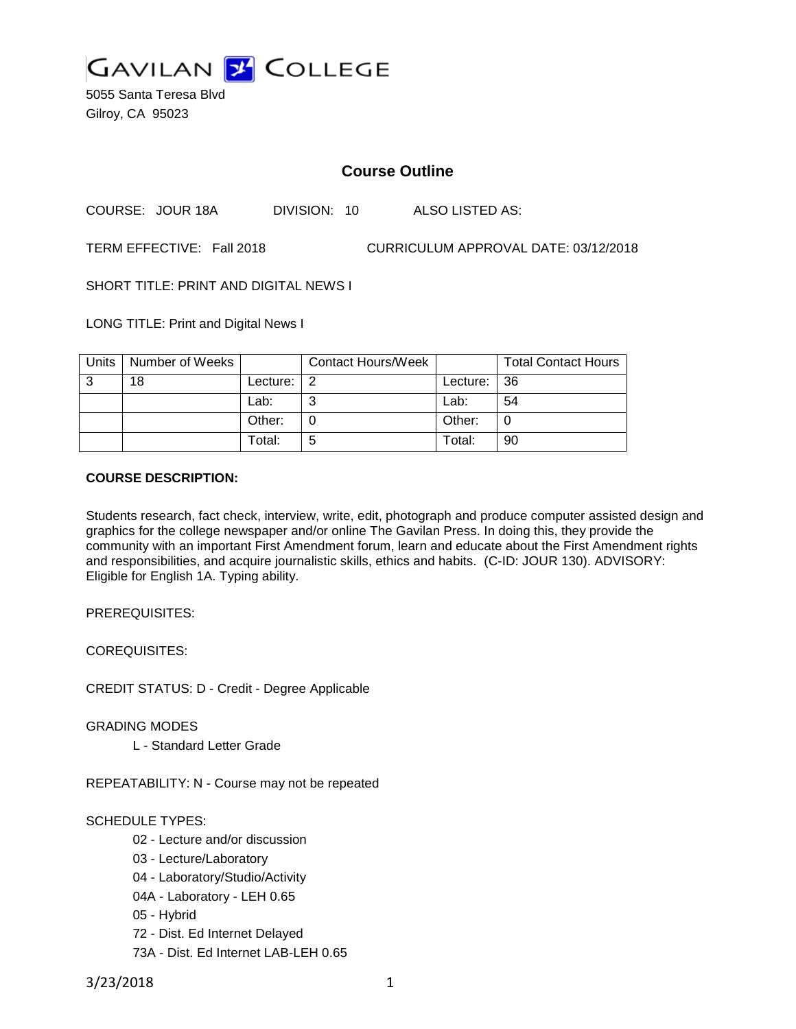

5055 Santa Teresa Blvd Gilroy, CA 95023

# **Course Outline**

COURSE: JOUR 18A DIVISION: 10 ALSO LISTED AS:

TERM EFFECTIVE: Fall 2018 CURRICULUM APPROVAL DATE: 03/12/2018

SHORT TITLE: PRINT AND DIGITAL NEWS I

LONG TITLE: Print and Digital News I

| Units | Number of Weeks |          | <b>Contact Hours/Week</b> |             | <b>Total Contact Hours</b> |
|-------|-----------------|----------|---------------------------|-------------|----------------------------|
| 3     | 18              | Lecture: | 2                         | Lecture: 36 |                            |
|       |                 | Lab:     | ⌒                         | Lab:        | 54                         |
|       |                 | Other:   |                           | Other:      |                            |
|       |                 | Total:   | 5                         | Total:      | 90                         |

### **COURSE DESCRIPTION:**

Students research, fact check, interview, write, edit, photograph and produce computer assisted design and graphics for the college newspaper and/or online The Gavilan Press. In doing this, they provide the community with an important First Amendment forum, learn and educate about the First Amendment rights and responsibilities, and acquire journalistic skills, ethics and habits. (C-ID: JOUR 130). ADVISORY: Eligible for English 1A. Typing ability.

PREREQUISITES:

COREQUISITES:

CREDIT STATUS: D - Credit - Degree Applicable

GRADING MODES

L - Standard Letter Grade

REPEATABILITY: N - Course may not be repeated

### SCHEDULE TYPES:

- 02 Lecture and/or discussion
- 03 Lecture/Laboratory
- 04 Laboratory/Studio/Activity
- 04A Laboratory LEH 0.65
- 05 Hybrid
- 72 Dist. Ed Internet Delayed
- 73A Dist. Ed Internet LAB-LEH 0.65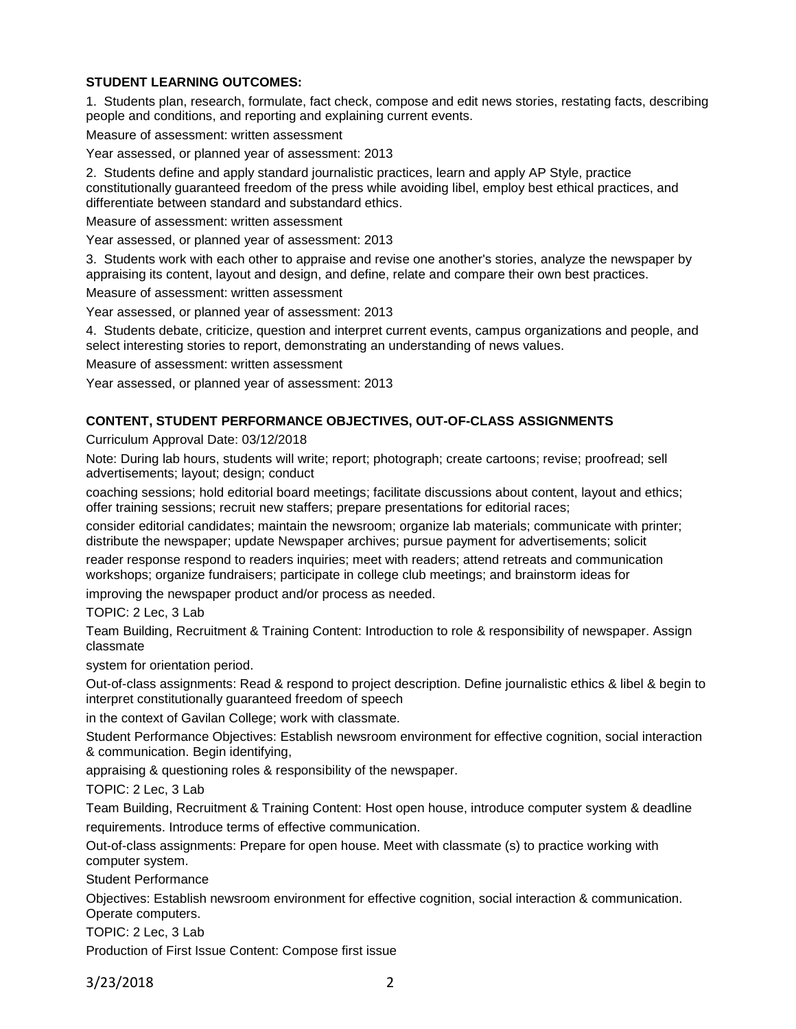## **STUDENT LEARNING OUTCOMES:**

1. Students plan, research, formulate, fact check, compose and edit news stories, restating facts, describing people and conditions, and reporting and explaining current events.

Measure of assessment: written assessment

Year assessed, or planned year of assessment: 2013

2. Students define and apply standard journalistic practices, learn and apply AP Style, practice constitutionally guaranteed freedom of the press while avoiding libel, employ best ethical practices, and differentiate between standard and substandard ethics.

Measure of assessment: written assessment

Year assessed, or planned year of assessment: 2013

3. Students work with each other to appraise and revise one another's stories, analyze the newspaper by appraising its content, layout and design, and define, relate and compare their own best practices.

Measure of assessment: written assessment

Year assessed, or planned year of assessment: 2013

4. Students debate, criticize, question and interpret current events, campus organizations and people, and select interesting stories to report, demonstrating an understanding of news values.

Measure of assessment: written assessment

Year assessed, or planned year of assessment: 2013

#### **CONTENT, STUDENT PERFORMANCE OBJECTIVES, OUT-OF-CLASS ASSIGNMENTS**

Curriculum Approval Date: 03/12/2018

Note: During lab hours, students will write; report; photograph; create cartoons; revise; proofread; sell advertisements; layout; design; conduct

coaching sessions; hold editorial board meetings; facilitate discussions about content, layout and ethics; offer training sessions; recruit new staffers; prepare presentations for editorial races;

consider editorial candidates; maintain the newsroom; organize lab materials; communicate with printer; distribute the newspaper; update Newspaper archives; pursue payment for advertisements; solicit

reader response respond to readers inquiries; meet with readers; attend retreats and communication workshops; organize fundraisers; participate in college club meetings; and brainstorm ideas for

improving the newspaper product and/or process as needed.

TOPIC: 2 Lec, 3 Lab

Team Building, Recruitment & Training Content: Introduction to role & responsibility of newspaper. Assign classmate

system for orientation period.

Out-of-class assignments: Read & respond to project description. Define journalistic ethics & libel & begin to interpret constitutionally guaranteed freedom of speech

in the context of Gavilan College; work with classmate.

Student Performance Objectives: Establish newsroom environment for effective cognition, social interaction & communication. Begin identifying,

appraising & questioning roles & responsibility of the newspaper.

TOPIC: 2 Lec, 3 Lab

Team Building, Recruitment & Training Content: Host open house, introduce computer system & deadline requirements. Introduce terms of effective communication.

Out-of-class assignments: Prepare for open house. Meet with classmate (s) to practice working with computer system.

Student Performance

Objectives: Establish newsroom environment for effective cognition, social interaction & communication. Operate computers.

TOPIC: 2 Lec, 3 Lab

Production of First Issue Content: Compose first issue

3/23/2018 2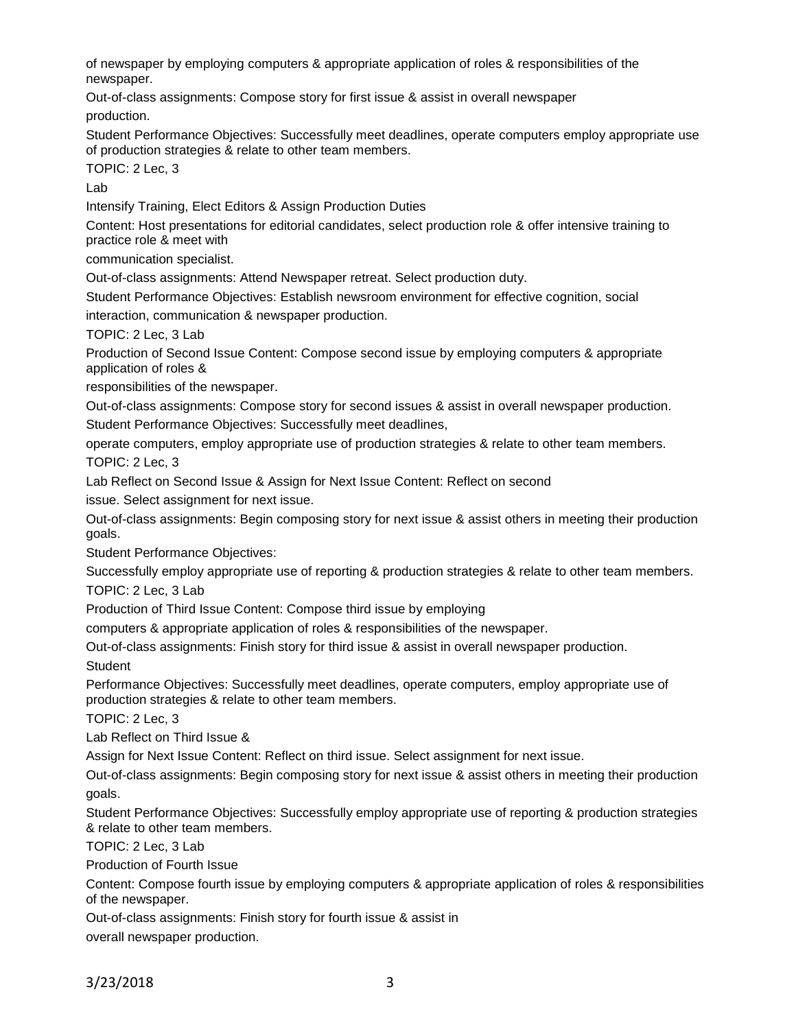of newspaper by employing computers & appropriate application of roles & responsibilities of the newspaper.

Out-of-class assignments: Compose story for first issue & assist in overall newspaper production.

Student Performance Objectives: Successfully meet deadlines, operate computers employ appropriate use of production strategies & relate to other team members.

TOPIC: 2 Lec, 3

Lab

Intensify Training, Elect Editors & Assign Production Duties

Content: Host presentations for editorial candidates, select production role & offer intensive training to practice role & meet with

communication specialist.

Out-of-class assignments: Attend Newspaper retreat. Select production duty.

Student Performance Objectives: Establish newsroom environment for effective cognition, social

interaction, communication & newspaper production.

TOPIC: 2 Lec, 3 Lab

Production of Second Issue Content: Compose second issue by employing computers & appropriate application of roles &

responsibilities of the newspaper.

Out-of-class assignments: Compose story for second issues & assist in overall newspaper production.

Student Performance Objectives: Successfully meet deadlines,

operate computers, employ appropriate use of production strategies & relate to other team members. TOPIC: 2 Lec, 3

Lab Reflect on Second Issue & Assign for Next Issue Content: Reflect on second

issue. Select assignment for next issue.

Out-of-class assignments: Begin composing story for next issue & assist others in meeting their production goals.

Student Performance Objectives:

Successfully employ appropriate use of reporting & production strategies & relate to other team members.

TOPIC: 2 Lec, 3 Lab

Production of Third Issue Content: Compose third issue by employing

computers & appropriate application of roles & responsibilities of the newspaper.

Out-of-class assignments: Finish story for third issue & assist in overall newspaper production. **Student** 

Performance Objectives: Successfully meet deadlines, operate computers, employ appropriate use of production strategies & relate to other team members.

TOPIC: 2 Lec, 3

Lab Reflect on Third Issue &

Assign for Next Issue Content: Reflect on third issue. Select assignment for next issue.

Out-of-class assignments: Begin composing story for next issue & assist others in meeting their production goals.

Student Performance Objectives: Successfully employ appropriate use of reporting & production strategies & relate to other team members.

TOPIC: 2 Lec, 3 Lab

Production of Fourth Issue

Content: Compose fourth issue by employing computers & appropriate application of roles & responsibilities of the newspaper.

Out-of-class assignments: Finish story for fourth issue & assist in overall newspaper production.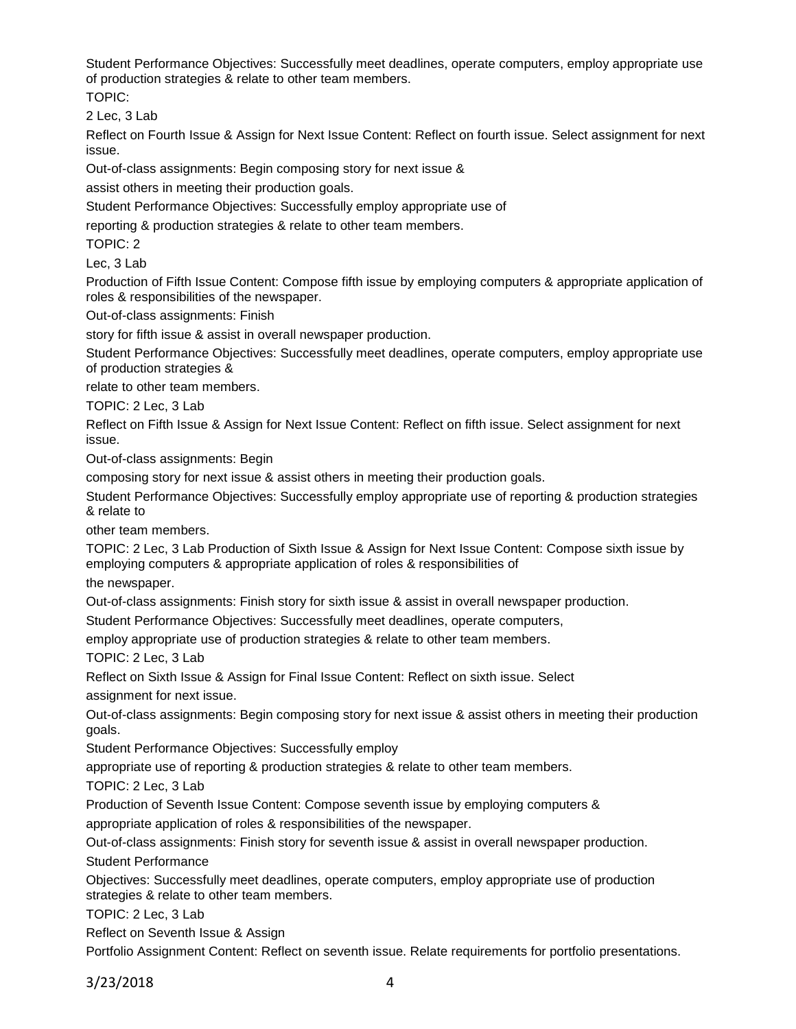Student Performance Objectives: Successfully meet deadlines, operate computers, employ appropriate use of production strategies & relate to other team members.

TOPIC:

2 Lec, 3 Lab

Reflect on Fourth Issue & Assign for Next Issue Content: Reflect on fourth issue. Select assignment for next issue.

Out-of-class assignments: Begin composing story for next issue &

assist others in meeting their production goals.

Student Performance Objectives: Successfully employ appropriate use of

reporting & production strategies & relate to other team members.

TOPIC: 2

Lec, 3 Lab

Production of Fifth Issue Content: Compose fifth issue by employing computers & appropriate application of roles & responsibilities of the newspaper.

Out-of-class assignments: Finish

story for fifth issue & assist in overall newspaper production.

Student Performance Objectives: Successfully meet deadlines, operate computers, employ appropriate use of production strategies &

relate to other team members.

TOPIC: 2 Lec, 3 Lab

Reflect on Fifth Issue & Assign for Next Issue Content: Reflect on fifth issue. Select assignment for next issue.

Out-of-class assignments: Begin

composing story for next issue & assist others in meeting their production goals.

Student Performance Objectives: Successfully employ appropriate use of reporting & production strategies & relate to

other team members.

TOPIC: 2 Lec, 3 Lab Production of Sixth Issue & Assign for Next Issue Content: Compose sixth issue by employing computers & appropriate application of roles & responsibilities of

the newspaper.

Out-of-class assignments: Finish story for sixth issue & assist in overall newspaper production.

Student Performance Objectives: Successfully meet deadlines, operate computers,

employ appropriate use of production strategies & relate to other team members.

TOPIC: 2 Lec, 3 Lab

Reflect on Sixth Issue & Assign for Final Issue Content: Reflect on sixth issue. Select

assignment for next issue.

Out-of-class assignments: Begin composing story for next issue & assist others in meeting their production goals.

Student Performance Objectives: Successfully employ

appropriate use of reporting & production strategies & relate to other team members.

TOPIC: 2 Lec, 3 Lab

Production of Seventh Issue Content: Compose seventh issue by employing computers &

appropriate application of roles & responsibilities of the newspaper.

Out-of-class assignments: Finish story for seventh issue & assist in overall newspaper production.

Student Performance

Objectives: Successfully meet deadlines, operate computers, employ appropriate use of production strategies & relate to other team members.

TOPIC: 2 Lec, 3 Lab

Reflect on Seventh Issue & Assign

Portfolio Assignment Content: Reflect on seventh issue. Relate requirements for portfolio presentations.

3/23/2018 4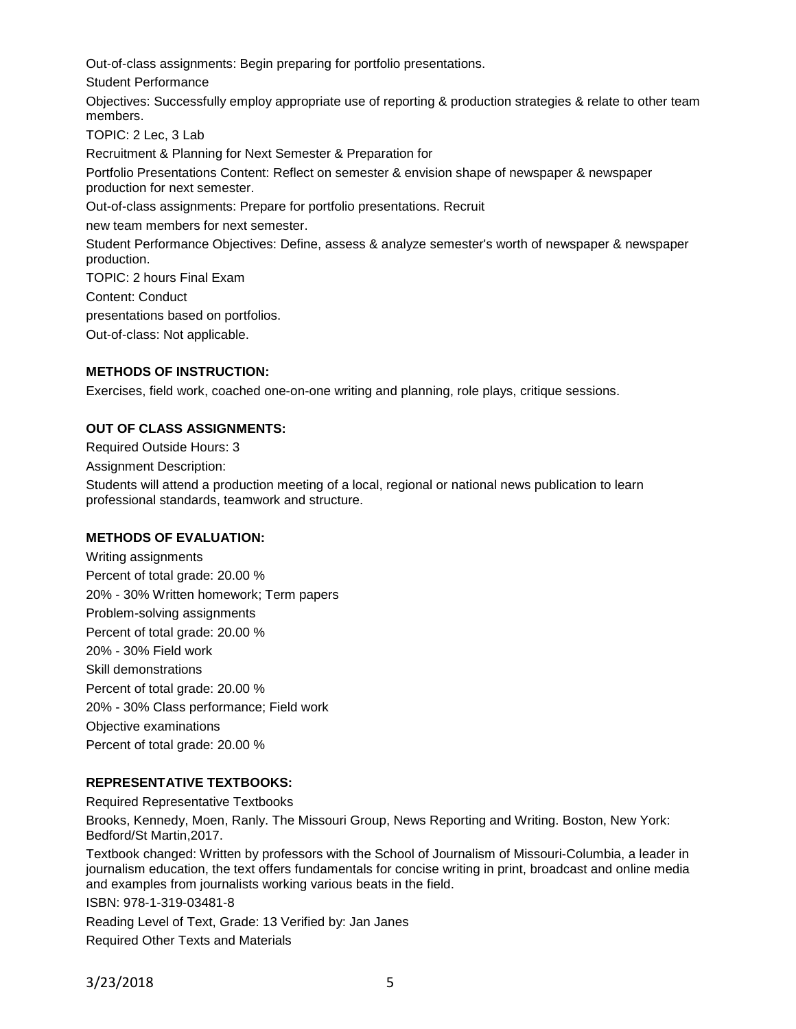Out-of-class assignments: Begin preparing for portfolio presentations.

Student Performance

Objectives: Successfully employ appropriate use of reporting & production strategies & relate to other team members.

TOPIC: 2 Lec, 3 Lab

Recruitment & Planning for Next Semester & Preparation for

Portfolio Presentations Content: Reflect on semester & envision shape of newspaper & newspaper production for next semester.

Out-of-class assignments: Prepare for portfolio presentations. Recruit

new team members for next semester.

Student Performance Objectives: Define, assess & analyze semester's worth of newspaper & newspaper production.

TOPIC: 2 hours Final Exam

Content: Conduct

presentations based on portfolios.

Out-of-class: Not applicable.

### **METHODS OF INSTRUCTION:**

Exercises, field work, coached one-on-one writing and planning, role plays, critique sessions.

### **OUT OF CLASS ASSIGNMENTS:**

Required Outside Hours: 3

Assignment Description:

Students will attend a production meeting of a local, regional or national news publication to learn professional standards, teamwork and structure.

### **METHODS OF EVALUATION:**

Writing assignments Percent of total grade: 20.00 % 20% - 30% Written homework; Term papers Problem-solving assignments Percent of total grade: 20.00 % 20% - 30% Field work Skill demonstrations Percent of total grade: 20.00 % 20% - 30% Class performance; Field work Objective examinations Percent of total grade: 20.00 %

### **REPRESENTATIVE TEXTBOOKS:**

Required Representative Textbooks

Brooks, Kennedy, Moen, Ranly. The Missouri Group, News Reporting and Writing. Boston, New York: Bedford/St Martin,2017.

Textbook changed: Written by professors with the School of Journalism of Missouri-Columbia, a leader in journalism education, the text offers fundamentals for concise writing in print, broadcast and online media and examples from journalists working various beats in the field.

ISBN: 978-1-319-03481-8

Reading Level of Text, Grade: 13 Verified by: Jan Janes

Required Other Texts and Materials